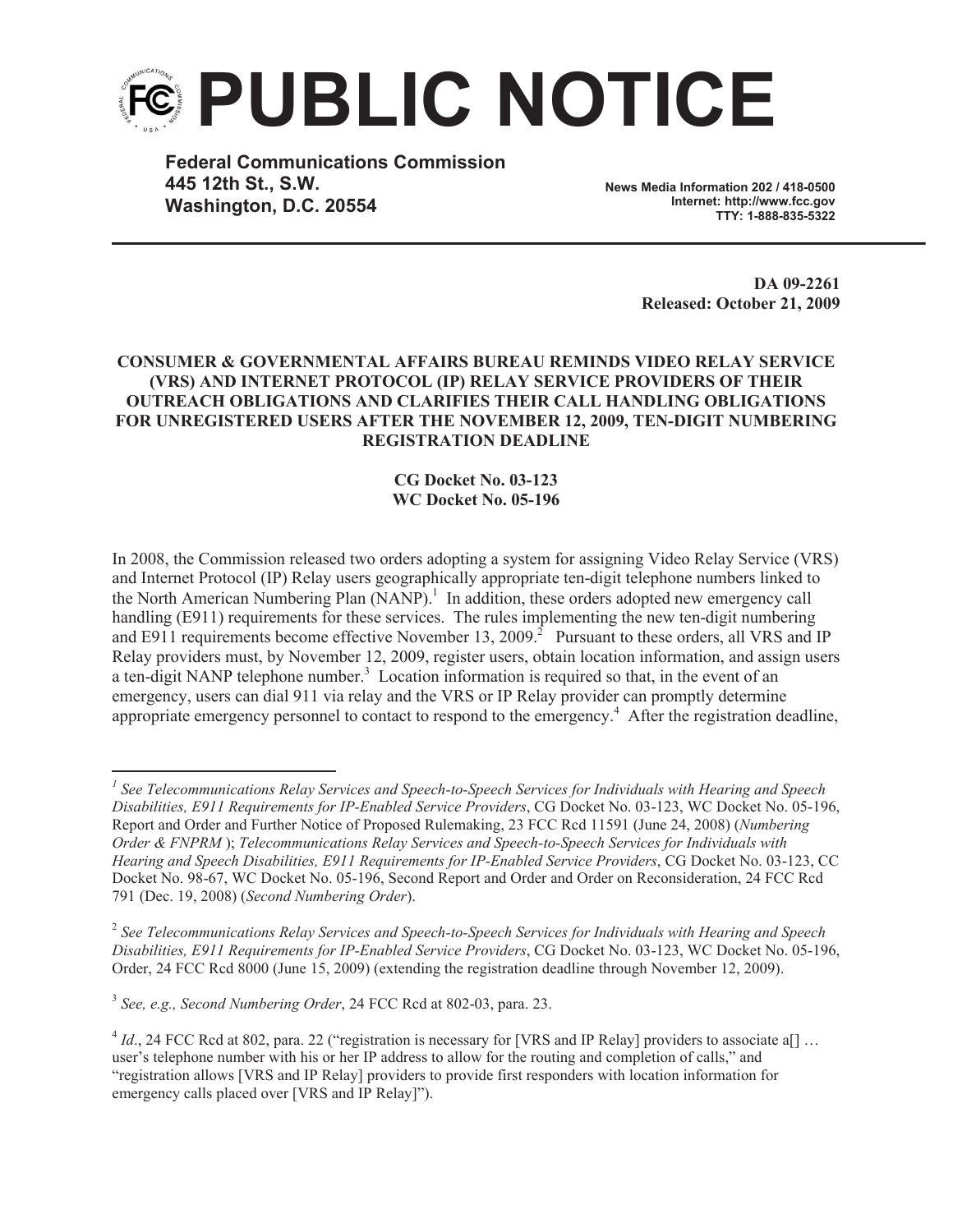

**Federal Communications Commission 445 12th St., S.W. Washington, D.C. 20554**

**News Media Information 202 / 418-0500 Internet: http://www.fcc.gov TTY: 1-888-835-5322**

> **DA 09-2261 Released: October 21, 2009**

## **CONSUMER & GOVERNMENTAL AFFAIRS BUREAU REMINDS VIDEO RELAY SERVICE (VRS) AND INTERNET PROTOCOL (IP) RELAY SERVICE PROVIDERS OF THEIR OUTREACH OBLIGATIONS AND CLARIFIES THEIR CALL HANDLING OBLIGATIONS FOR UNREGISTERED USERS AFTER THE NOVEMBER 12, 2009, TEN-DIGIT NUMBERING REGISTRATION DEADLINE**

## **CG Docket No. 03-123 WC Docket No. 05-196**

In 2008, the Commission released two orders adopting a system for assigning Video Relay Service (VRS) and Internet Protocol (IP) Relay users geographically appropriate ten-digit telephone numbers linked to the North American Numbering Plan (NANP).<sup>1</sup> In addition, these orders adopted new emergency call handling (E911) requirements for these services. The rules implementing the new ten-digit numbering and E911 requirements become effective November 13, 2009.<sup>2</sup> Pursuant to these orders, all VRS and IP Relay providers must, by November 12, 2009, register users, obtain location information, and assign users a ten-digit NANP telephone number.<sup>3</sup> Location information is required so that, in the event of an emergency, users can dial 911 via relay and the VRS or IP Relay provider can promptly determine appropriate emergency personnel to contact to respond to the emergency.<sup>4</sup> After the registration deadline,

3 *See, e.g., Second Numbering Order*, 24 FCC Rcd at 802-03, para. 23.

<sup>&</sup>lt;sup>1</sup> See Telecommunications Relay Services and Speech-to-Speech Services for Individuals with Hearing and Speech *Disabilities, E911 Requirements for IP-Enabled Service Providers*, CG Docket No. 03-123, WC Docket No. 05-196, Report and Order and Further Notice of Proposed Rulemaking, 23 FCC Rcd 11591 (June 24, 2008) (*Numbering Order & FNPRM* ); *Telecommunications Relay Services and Speech-to-Speech Services for Individuals with Hearing and Speech Disabilities, E911 Requirements for IP-Enabled Service Providers*, CG Docket No. 03-123, CC Docket No. 98-67, WC Docket No. 05-196, Second Report and Order and Order on Reconsideration, 24 FCC Rcd 791 (Dec. 19, 2008) (*Second Numbering Order*).

<sup>2</sup> *See Telecommunications Relay Services and Speech-to-Speech Services for Individuals with Hearing and Speech Disabilities, E911 Requirements for IP-Enabled Service Providers*, CG Docket No. 03-123, WC Docket No. 05-196, Order, 24 FCC Rcd 8000 (June 15, 2009) (extending the registration deadline through November 12, 2009).

 $^{4}$  *Id.*, 24 FCC Rcd at 802, para. 22 ("registration is necessary for [VRS and IP Relay] providers to associate a[] ... user's telephone number with his or her IP address to allow for the routing and completion of calls," and "registration allows [VRS and IP Relay] providers to provide first responders with location information for emergency calls placed over [VRS and IP Relay]").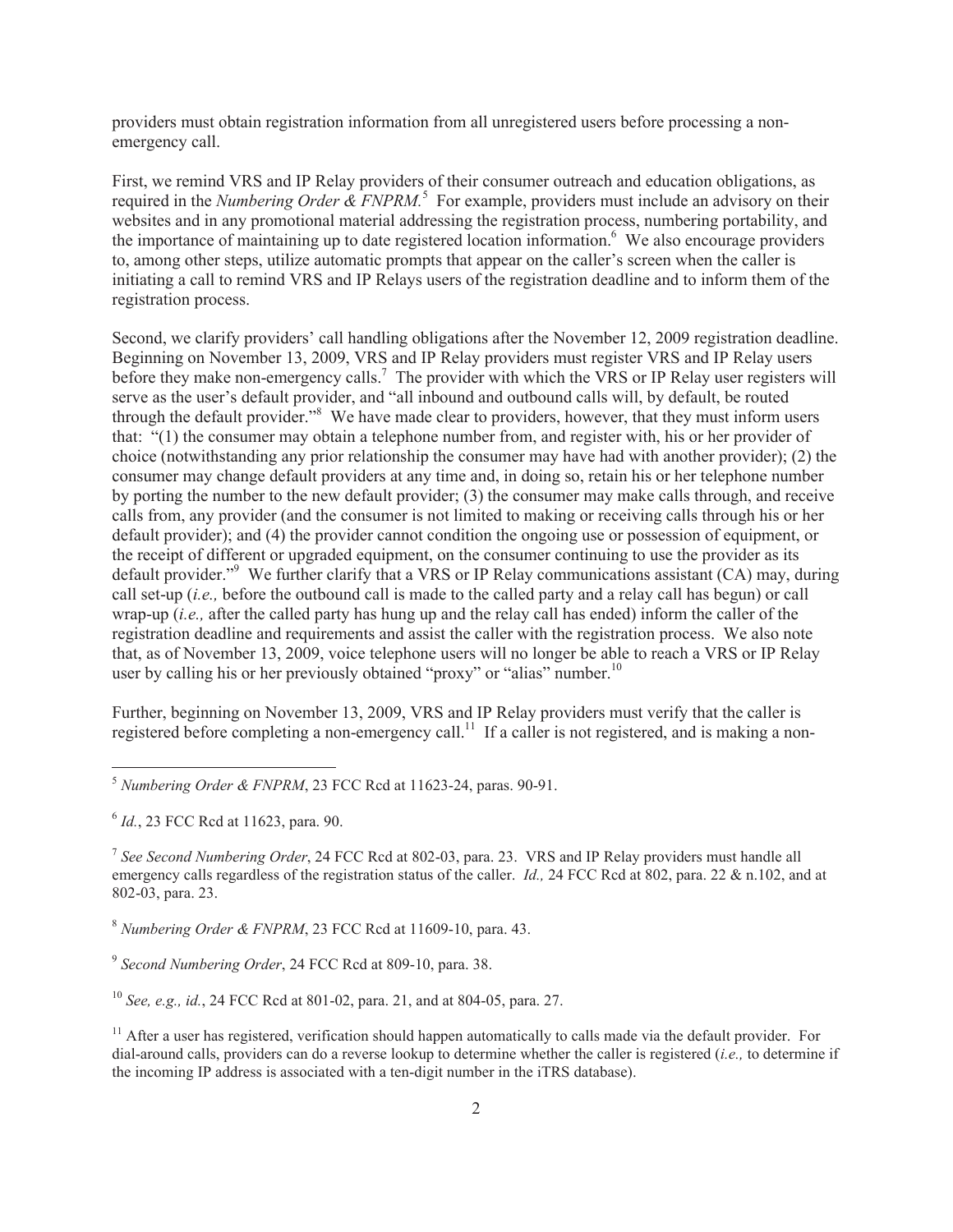providers must obtain registration information from all unregistered users before processing a nonemergency call.

First, we remind VRS and IP Relay providers of their consumer outreach and education obligations, as required in the *Numbering Order & FNPRM*.<sup>5</sup> For example, providers must include an advisory on their websites and in any promotional material addressing the registration process, numbering portability, and the importance of maintaining up to date registered location information.<sup>6</sup> We also encourage providers to, among other steps, utilize automatic prompts that appear on the caller's screen when the caller is initiating a call to remind VRS and IP Relays users of the registration deadline and to inform them of the registration process.

Second, we clarify providers' call handling obligations after the November 12, 2009 registration deadline. Beginning on November 13, 2009, VRS and IP Relay providers must register VRS and IP Relay users before they make non-emergency calls.<sup>7</sup> The provider with which the VRS or IP Relay user registers will serve as the user's default provider, and "all inbound and outbound calls will, by default, be routed through the default provider."<sup>8</sup> We have made clear to providers, however, that they must inform users that: "(1) the consumer may obtain a telephone number from, and register with, his or her provider of choice (notwithstanding any prior relationship the consumer may have had with another provider); (2) the consumer may change default providers at any time and, in doing so, retain his or her telephone number by porting the number to the new default provider; (3) the consumer may make calls through, and receive calls from, any provider (and the consumer is not limited to making or receiving calls through his or her default provider); and (4) the provider cannot condition the ongoing use or possession of equipment, or the receipt of different or upgraded equipment, on the consumer continuing to use the provider as its default provider."<sup>9</sup> We further clarify that a VRS or IP Relay communications assistant (CA) may, during call set-up (*i.e.,* before the outbound call is made to the called party and a relay call has begun) or call wrap-up (*i.e.,* after the called party has hung up and the relay call has ended) inform the caller of the registration deadline and requirements and assist the caller with the registration process. We also note that, as of November 13, 2009, voice telephone users will no longer be able to reach a VRS or IP Relay user by calling his or her previously obtained "proxy" or "alias" number.<sup>10</sup>

Further, beginning on November 13, 2009, VRS and IP Relay providers must verify that the caller is registered before completing a non-emergency call.<sup>11</sup> If a caller is not registered, and is making a non-

<sup>8</sup> *Numbering Order & FNPRM*, 23 FCC Rcd at 11609-10, para. 43.

<sup>10</sup> *See, e.g., id.*, 24 FCC Rcd at 801-02, para. 21, and at 804-05, para. 27.

<sup>5</sup> *Numbering Order & FNPRM*, 23 FCC Rcd at 11623-24, paras. 90-91.

<sup>6</sup> *Id.*, 23 FCC Rcd at 11623, para. 90.

<sup>7</sup> *See Second Numbering Order*, 24 FCC Rcd at 802-03, para. 23. VRS and IP Relay providers must handle all emergency calls regardless of the registration status of the caller. *Id.*, 24 FCC Rcd at 802, para. 22 & n.102, and at 802-03, para. 23.

<sup>9</sup> *Second Numbering Order*, 24 FCC Rcd at 809-10, para. 38.

 $11$  After a user has registered, verification should happen automatically to calls made via the default provider. For dial-around calls, providers can do a reverse lookup to determine whether the caller is registered (*i.e.,* to determine if the incoming IP address is associated with a ten-digit number in the iTRS database).